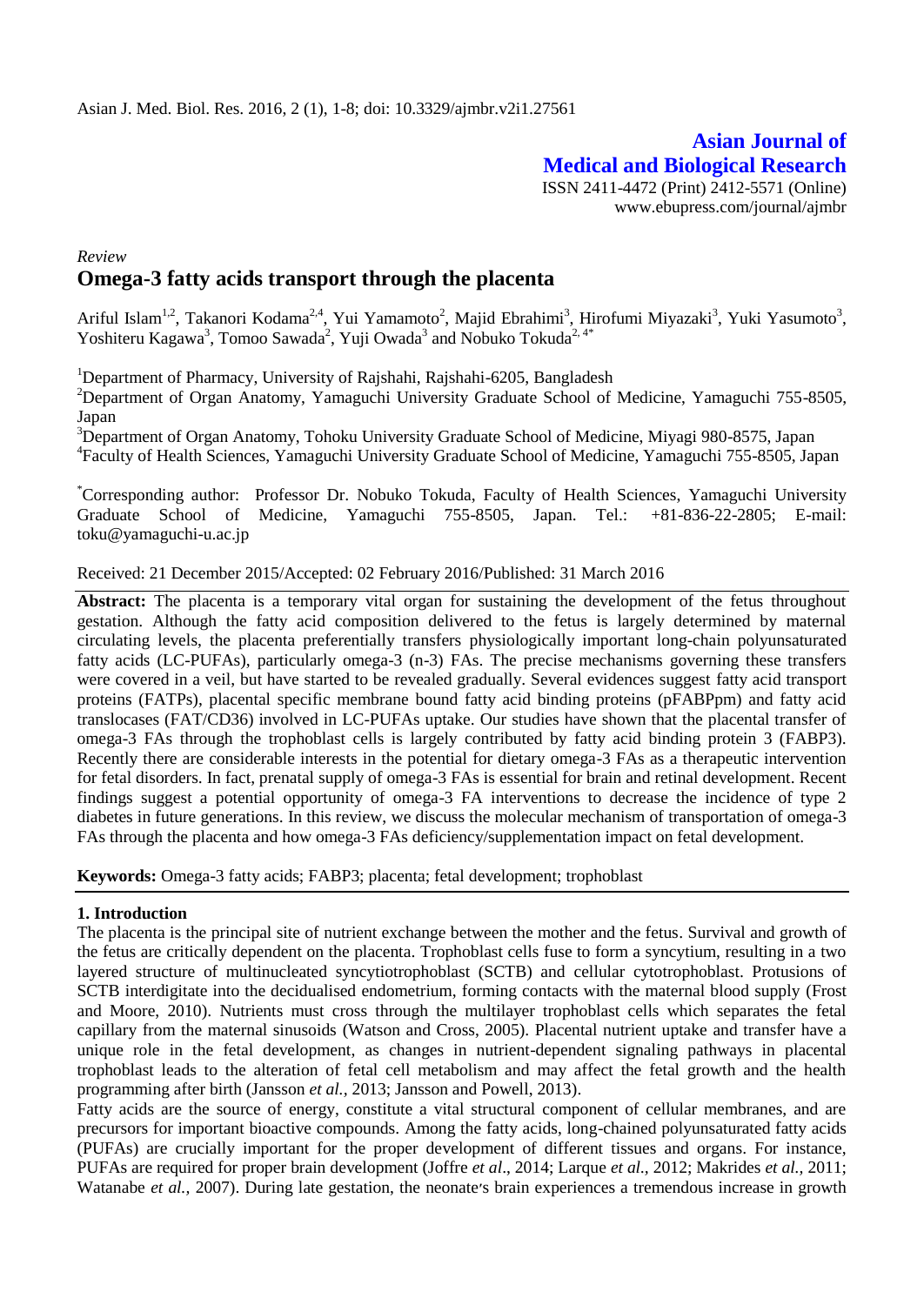# **Asian Journal of Medical and Biological Research** ISSN 2411-4472 (Print) 2412-5571 (Online)

www.ebupress.com/journal/ajmbr

## *Review*  **Omega-3 fatty acids transport through the placenta**

Ariful Islam<sup>1,2</sup>, Takanori Kodama<sup>2,4</sup>, Yui Yamamoto<sup>2</sup>, Majid Ebrahimi<sup>3</sup>, Hirofumi Miyazaki<sup>3</sup>, Yuki Yasumoto<sup>3</sup>, Yoshiteru Kagawa<sup>3</sup>, Tomoo Sawada<sup>2</sup>, Yuji Owada<sup>3</sup> and Nobuko Tokuda<sup>2, 4\*</sup>

<sup>1</sup>Department of Pharmacy, University of Rajshahi, Rajshahi-6205, Bangladesh

<sup>2</sup>Department of Organ Anatomy, Yamaguchi University Graduate School of Medicine, Yamaguchi 755-8505, Japan

<sup>3</sup>Department of Organ Anatomy, Tohoku University Graduate School of Medicine, Miyagi 980-8575, Japan 4 Faculty of Health Sciences, Yamaguchi University Graduate School of Medicine, Yamaguchi 755-8505, Japan

\*Corresponding author: Professor Dr. Nobuko Tokuda, Faculty of Health Sciences, Yamaguchi University Graduate School of Medicine, Yamaguchi 755-8505, Japan. Tel.: [+81-836-22-2805;](tel:%2B81-836-22-2805) E-mail: [toku@yamaguchi-u.ac.jp](mailto:toku@yamaguchi-u.ac.jp)

## Received: 21 December 2015/Accepted: 02 February 2016/Published: 31 March 2016

Abstract: The placenta is a temporary vital organ for sustaining the development of the fetus throughout gestation. Although the fatty acid composition delivered to the fetus is largely determined by maternal circulating levels, the placenta preferentially transfers physiologically important long-chain polyunsaturated fatty acids (LC-PUFAs), particularly omega-3 (n-3) FAs. The precise mechanisms governing these transfers were covered in a veil, but have started to be revealed gradually. Several evidences suggest fatty acid transport proteins (FATPs), placental specific membrane bound fatty acid binding proteins (pFABPpm) and fatty acid translocases (FAT/CD36) involved in LC-PUFAs uptake. Our studies have shown that the placental transfer of omega-3 FAs through the trophoblast cells is largely contributed by fatty acid binding protein 3 (FABP3). Recently there are considerable interests in the potential for dietary omega-3 FAs as a therapeutic intervention for fetal disorders. In fact, prenatal supply of omega-3 FAs is essential for brain and retinal development. Recent findings suggest a potential opportunity of omega-3 FA interventions to decrease the incidence of type 2 diabetes in future generations. In this review, we discuss the molecular mechanism of transportation of omega-3 FAs through the placenta and how omega-3 FAs deficiency/supplementation impact on fetal development.

**Keywords:** Omega-3 fatty acids; FABP3; placenta; fetal development; trophoblast

## **1. Introduction**

The placenta is the principal site of nutrient exchange between the mother and the fetus. Survival and growth of the fetus are critically dependent on the placenta. Trophoblast cells fuse to form a syncytium, resulting in a two layered structure of multinucleated syncytiotrophoblast (SCTB) and cellular cytotrophoblast. Protusions of SCTB interdigitate into the decidualised endometrium, forming contacts with the maternal blood supply (Frost and Moore, 2010). Nutrients must cross through the multilayer trophoblast cells which separates the fetal capillary from the maternal sinusoids (Watson and Cross, 2005). Placental nutrient uptake and transfer have a unique role in the fetal development, as changes in nutrient-dependent signaling pathways in placental trophoblast leads to the alteration of fetal cell metabolism and may affect the fetal growth and the health programming after birth (Jansson *et al.,* 2013; Jansson and Powell, 2013).

Fatty acids are the source of energy, constitute a vital structural component of cellular membranes, and are precursors for important bioactive compounds. Among the fatty acids, long-chained polyunsaturated fatty acids (PUFAs) are crucially important for the proper development of different tissues and organs. For instance, PUFAs are required for proper brain development (Joffre *et al*., 2014; Larque *et al.,* 2012; Makrides *et al.,* 2011; Watanabe *et al.*, 2007). During late gestation, the neonate's brain experiences a tremendous increase in growth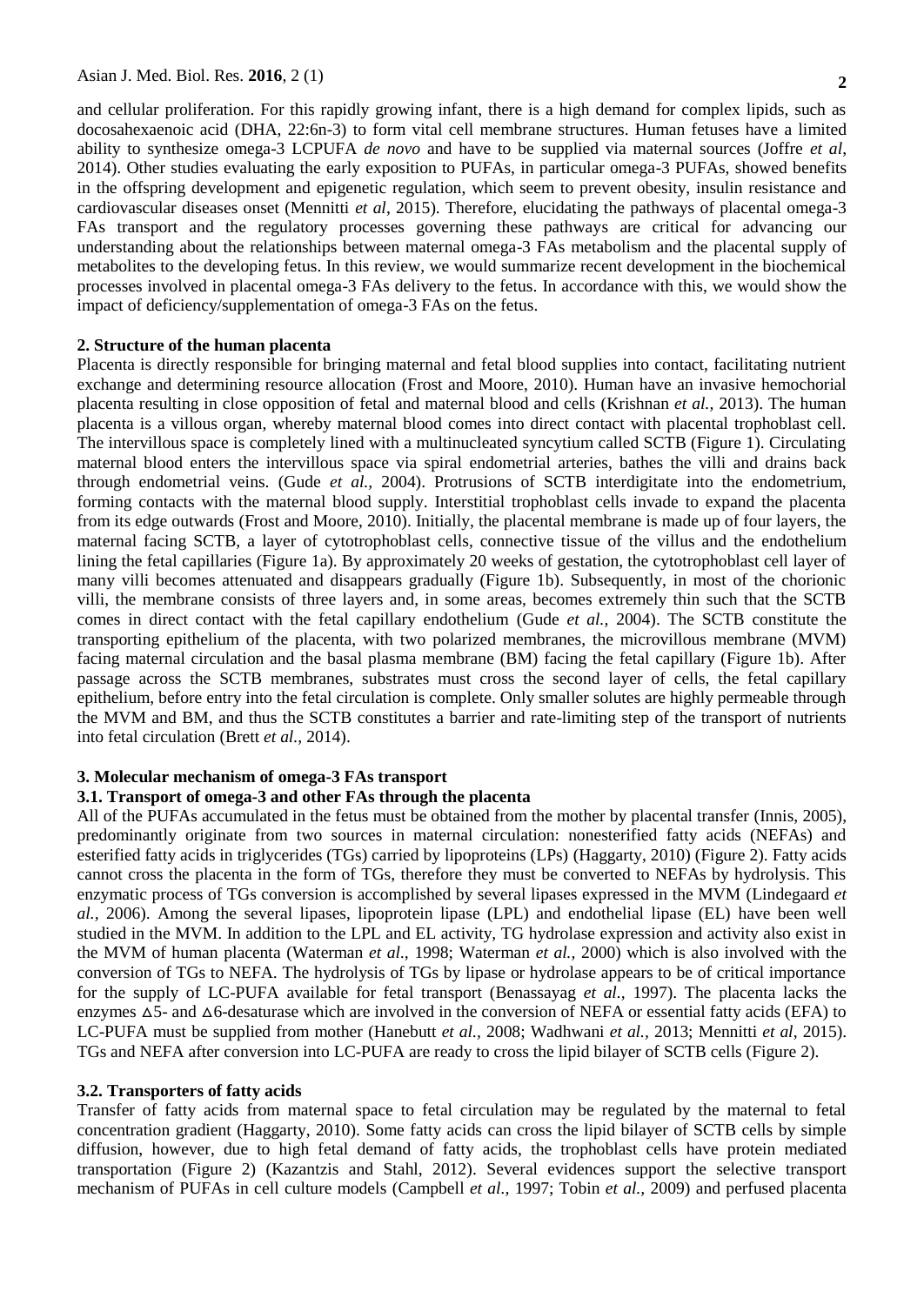**2**

and cellular proliferation. For this rapidly growing infant, there is a high demand for complex lipids, such as docosahexaenoic acid (DHA, 22:6n-3) to form vital cell membrane structures. Human fetuses have a limited ability to synthesize omega-3 LCPUFA *de novo* and have to be supplied via maternal sources (Joffre *et al*, 2014). Other studies evaluating the early exposition to PUFAs, in particular omega-3 PUFAs, showed benefits in the offspring development and epigenetic regulation, which seem to prevent obesity, insulin resistance and cardiovascular diseases onset (Mennitti *et al*, 2015). Therefore, elucidating the pathways of placental omega-3 FAs transport and the regulatory processes governing these pathways are critical for advancing our understanding about the relationships between maternal omega-3 FAs metabolism and the placental supply of metabolites to the developing fetus. In this review, we would summarize recent development in the biochemical processes involved in placental omega-3 FAs delivery to the fetus. In accordance with this, we would show the impact of deficiency/supplementation of omega-3 FAs on the fetus.

### **2. Structure of the human placenta**

Placenta is directly responsible for bringing maternal and fetal blood supplies into contact, facilitating nutrient exchange and determining resource allocation (Frost and Moore, 2010). Human have an invasive hemochorial placenta resulting in close opposition of fetal and maternal blood and cells (Krishnan *et al.,* 2013). The human placenta is a villous organ, whereby maternal blood comes into direct contact with placental trophoblast cell. The intervillous space is completely lined with a multinucleated syncytium called SCTB (Figure 1). Circulating maternal blood enters the intervillous space via spiral endometrial arteries, bathes the villi and drains back through endometrial veins. (Gude *et al.,* 2004). Protrusions of SCTB interdigitate into the endometrium, forming contacts with the maternal blood supply. Interstitial trophoblast cells invade to expand the placenta from its edge outwards (Frost and Moore, 2010). Initially, the placental membrane is made up of four layers, the maternal facing SCTB, a layer of cytotrophoblast cells, connective tissue of the villus and the endothelium lining the fetal capillaries (Figure 1a). By approximately 20 weeks of gestation, the cytotrophoblast cell layer of many villi becomes attenuated and disappears gradually (Figure 1b). Subsequently, in most of the chorionic villi, the membrane consists of three layers and, in some areas, becomes extremely thin such that the SCTB comes in direct contact with the fetal capillary endothelium (Gude *et al.,* 2004). The SCTB constitute the transporting epithelium of the placenta, with two polarized membranes, the microvillous membrane (MVM) facing maternal circulation and the basal plasma membrane (BM) facing the fetal capillary (Figure 1b). After passage across the SCTB membranes, substrates must cross the second layer of cells, the fetal capillary epithelium, before entry into the fetal circulation is complete. Only smaller solutes are highly permeable through the MVM and BM, and thus the SCTB constitutes a barrier and rate-limiting step of the transport of nutrients into fetal circulation (Brett *et al.,* 2014).

## **3. Molecular mechanism of omega-3 FAs transport**

## **3.1. Transport of omega-3 and other FAs through the placenta**

All of the PUFAs accumulated in the fetus must be obtained from the mother by placental transfer (Innis, 2005), predominantly originate from two sources in maternal circulation: nonesterified fatty acids (NEFAs) and esterified fatty acids in triglycerides (TGs) carried by lipoproteins (LPs) (Haggarty, 2010) (Figure 2). Fatty acids cannot cross the placenta in the form of TGs, therefore they must be converted to NEFAs by hydrolysis. This enzymatic process of TGs conversion is accomplished by several lipases expressed in the MVM (Lindegaard *et al.,* 2006). Among the several lipases, lipoprotein lipase (LPL) and endothelial lipase (EL) have been well studied in the MVM. In addition to the LPL and EL activity, TG hydrolase expression and activity also exist in the MVM of human placenta (Waterman *et al.,* 1998; Waterman *et al.,* 2000) which is also involved with the conversion of TGs to NEFA. The hydrolysis of TGs by lipase or hydrolase appears to be of critical importance for the supply of LC-PUFA available for fetal transport (Benassayag *et al.,* 1997). The placenta lacks the enzymes  $\Delta$ 5- and  $\Delta$ 6-desaturase which are involved in the conversion of NEFA or essential fatty acids (EFA) to LC-PUFA must be supplied from mother (Hanebutt *et al.,* 2008; Wadhwani *et al.,* 2013; Mennitti *et al*, 2015). TGs and NEFA after conversion into LC-PUFA are ready to cross the lipid bilayer of SCTB cells (Figure 2).

#### **3.2. Transporters of fatty acids**

Transfer of fatty acids from maternal space to fetal circulation may be regulated by the maternal to fetal concentration gradient (Haggarty, 2010). Some fatty acids can cross the lipid bilayer of SCTB cells by simple diffusion, however, due to high fetal demand of fatty acids, the trophoblast cells have protein mediated transportation (Figure 2) (Kazantzis and Stahl, 2012). Several evidences support the selective transport mechanism of PUFAs in cell culture models (Campbell *et al.,* 1997; Tobin *et al.,* 2009) and perfused placenta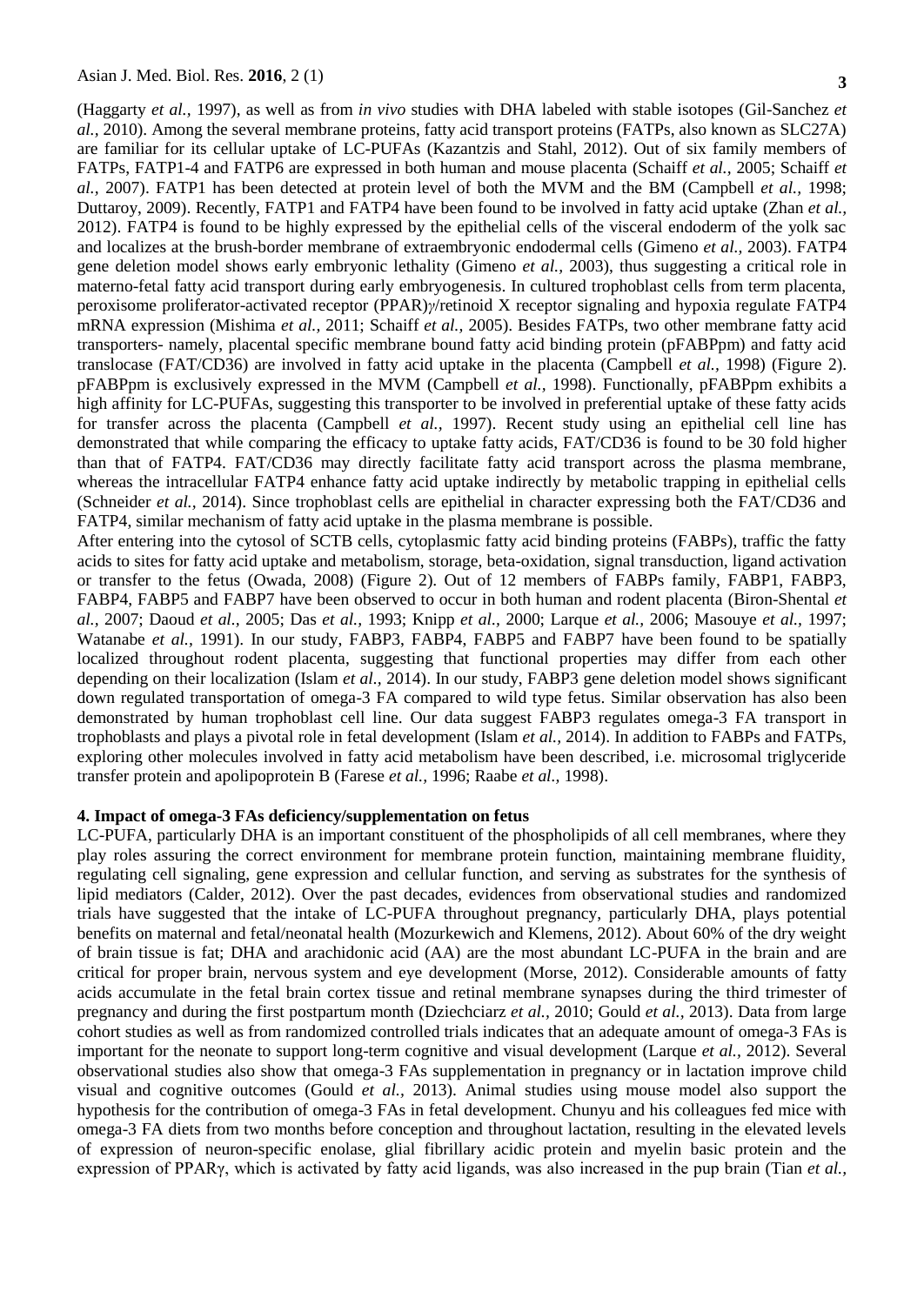(Haggarty *et al.,* 1997), as well as from *in vivo* studies with DHA labeled with stable isotopes (Gil-Sanchez *et al.,* 2010). Among the several membrane proteins, fatty acid transport proteins (FATPs, also known as SLC27A) are familiar for its cellular uptake of LC-PUFAs (Kazantzis and Stahl, 2012). Out of six family members of FATPs, FATP1-4 and FATP6 are expressed in both human and mouse placenta (Schaiff *et al.,* 2005; Schaiff *et al.,* 2007). FATP1 has been detected at protein level of both the MVM and the BM (Campbell *et al.,* 1998; Duttaroy, 2009). Recently, FATP1 and FATP4 have been found to be involved in fatty acid uptake (Zhan *et al.,* 2012). FATP4 is found to be highly expressed by the epithelial cells of the visceral endoderm of the yolk sac and localizes at the brush-border membrane of extraembryonic endodermal cells (Gimeno *et al.,* 2003). FATP4 gene deletion model shows early embryonic lethality (Gimeno *et al.,* 2003), thus suggesting a critical role in materno-fetal fatty acid transport during early embryogenesis. In cultured trophoblast cells from term placenta, peroxisome proliferator-activated receptor (PPAR)*γ*/retinoid X receptor signaling and hypoxia regulate FATP4 mRNA expression (Mishima *et al.,* 2011; Schaiff *et al.,* 2005). Besides FATPs, two other membrane fatty acid transporters- namely, placental specific membrane bound fatty acid binding protein (pFABPpm) and fatty acid translocase (FAT/CD36) are involved in fatty acid uptake in the placenta (Campbell *et al.,* 1998) (Figure 2). pFABPpm is exclusively expressed in the MVM (Campbell *et al.,* 1998). Functionally, pFABPpm exhibits a high affinity for LC-PUFAs, suggesting this transporter to be involved in preferential uptake of these fatty acids for transfer across the placenta (Campbell *et al.,* 1997). Recent study using an epithelial cell line has demonstrated that while comparing the efficacy to uptake fatty acids, FAT/CD36 is found to be 30 fold higher than that of FATP4. FAT/CD36 may directly facilitate fatty acid transport across the plasma membrane, whereas the intracellular FATP4 enhance fatty acid uptake indirectly by metabolic trapping in epithelial cells (Schneider *et al.,* 2014). Since trophoblast cells are epithelial in character expressing both the FAT/CD36 and FATP4, similar mechanism of fatty acid uptake in the plasma membrane is possible.

After entering into the cytosol of SCTB cells, cytoplasmic fatty acid binding proteins (FABPs), traffic the fatty acids to sites for fatty acid uptake and metabolism, storage, beta-oxidation, signal transduction, ligand activation or transfer to the fetus (Owada, 2008) (Figure 2). Out of 12 members of FABPs family, FABP1, FABP3, FABP4, FABP5 and FABP7 have been observed to occur in both human and rodent placenta (Biron-Shental *et al.,* 2007; Daoud *et al.,* 2005; Das *et al.,* 1993; Knipp *et al.,* 2000; Larque *et al.,* 2006; Masouye *et al.,* 1997; Watanabe *et al.,* 1991). In our study, FABP3, FABP4, FABP5 and FABP7 have been found to be spatially localized throughout rodent placenta, suggesting that functional properties may differ from each other depending on their localization (Islam *et al.,* 2014). In our study, FABP3 gene deletion model shows significant down regulated transportation of omega-3 FA compared to wild type fetus. Similar observation has also been demonstrated by human trophoblast cell line. Our data suggest FABP3 regulates omega-3 FA transport in trophoblasts and plays a pivotal role in fetal development (Islam *et al.,* 2014). In addition to FABPs and FATPs, exploring other molecules involved in fatty acid metabolism have been described, i.e. microsomal triglyceride transfer protein and apolipoprotein B (Farese *et al.,* 1996; Raabe *et al.,* 1998).

#### **4. Impact of omega-3 FAs deficiency/supplementation on fetus**

LC-PUFA, particularly DHA is an important constituent of the phospholipids of all cell membranes, where they play roles assuring the correct environment for membrane protein function, maintaining membrane fluidity, regulating cell signaling, gene expression and cellular function, and serving as substrates for the synthesis of lipid mediators (Calder, 2012). Over the past decades, evidences from observational studies and randomized trials have suggested that the intake of LC-PUFA throughout pregnancy, particularly DHA, plays potential benefits on maternal and fetal/neonatal health (Mozurkewich and Klemens, 2012). About 60% of the dry weight of brain tissue is fat; DHA and arachidonic acid (AA) are the most abundant LC-PUFA in the brain and are critical for proper brain, nervous system and eye development (Morse, 2012). Considerable amounts of fatty acids accumulate in the fetal brain cortex tissue and retinal membrane synapses during the third trimester of pregnancy and during the first postpartum month (Dziechciarz *et al.,* 2010; Gould *et al.,* 2013). Data from large cohort studies as well as from randomized controlled trials indicates that an adequate amount of omega-3 FAs is important for the neonate to support long-term cognitive and visual development (Larque *et al.,* 2012). Several observational studies also show that omega-3 FAs supplementation in pregnancy or in lactation improve child visual and cognitive outcomes (Gould *et al.,* 2013). Animal studies using mouse model also support the hypothesis for the contribution of omega-3 FAs in fetal development. Chunyu and his colleagues fed mice with omega-3 FA diets from two months before conception and throughout lactation, resulting in the elevated levels of expression of neuron-specific enolase, glial fibrillary acidic protein and myelin basic protein and the expression of PPARγ, which is activated by fatty acid ligands, was also increased in the pup brain (Tian *et al.,*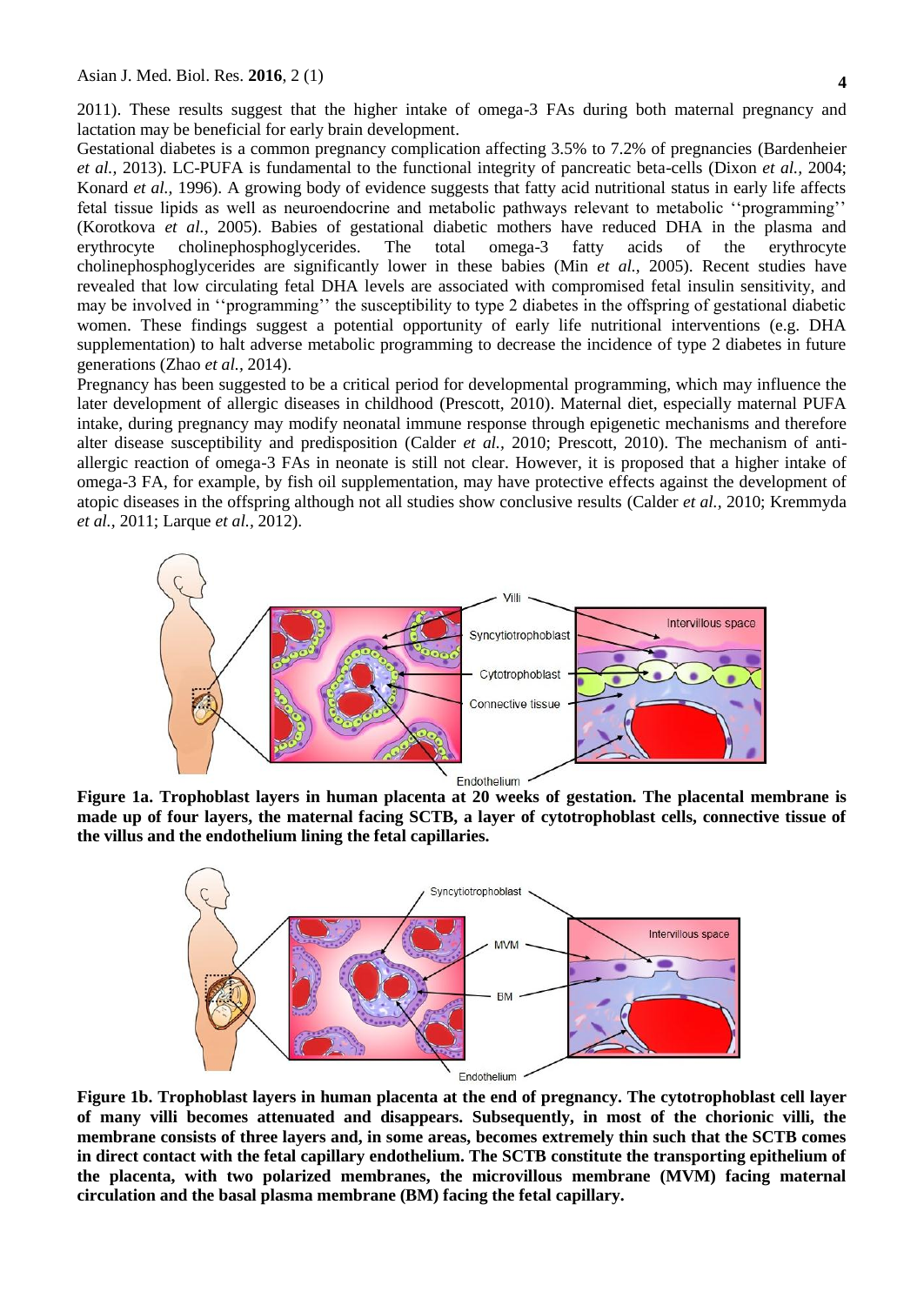**4**

2011). These results suggest that the higher intake of omega-3 FAs during both maternal pregnancy and lactation may be beneficial for early brain development.

Gestational diabetes is a common pregnancy complication affecting 3.5% to 7.2% of pregnancies (Bardenheier *et al.,* 2013). LC-PUFA is fundamental to the functional integrity of pancreatic beta-cells (Dixon *et al.,* 2004; Konard *et al.,* 1996). A growing body of evidence suggests that fatty acid nutritional status in early life affects fetal tissue lipids as well as neuroendocrine and metabolic pathways relevant to metabolic ''programming'' (Korotkova *et al.,* 2005). Babies of gestational diabetic mothers have reduced DHA in the plasma and erythrocyte cholinephosphoglycerides. The total omega-3 fatty acids of the erythrocyte cholinephosphoglycerides are significantly lower in these babies (Min *et al.,* 2005). Recent studies have revealed that low circulating fetal DHA levels are associated with compromised fetal insulin sensitivity, and may be involved in ''programming'' the susceptibility to type 2 diabetes in the offspring of gestational diabetic women. These findings suggest a potential opportunity of early life nutritional interventions (e.g. DHA supplementation) to halt adverse metabolic programming to decrease the incidence of type 2 diabetes in future generations (Zhao *et al.,* 2014).

Pregnancy has been suggested to be a critical period for developmental programming, which may influence the later development of allergic diseases in childhood (Prescott, 2010). Maternal diet, especially maternal PUFA intake, during pregnancy may modify neonatal immune response through epigenetic mechanisms and therefore alter disease susceptibility and predisposition (Calder *et al.,* 2010; Prescott, 2010). The mechanism of antiallergic reaction of omega-3 FAs in neonate is still not clear. However, it is proposed that a higher intake of omega-3 FA, for example, by fish oil supplementation, may have protective effects against the development of atopic diseases in the offspring although not all studies show conclusive results (Calder *et al.,* 2010; Kremmyda *et al.,* 2011; Larque *et al.,* 2012).



**Figure 1a. Trophoblast layers in human placenta at 20 weeks of gestation. The placental membrane is made up of four layers, the maternal facing SCTB, a layer of cytotrophoblast cells, connective tissue of the villus and the endothelium lining the fetal capillaries.**



**Figure 1b. Trophoblast layers in human placenta at the end of pregnancy. The cytotrophoblast cell layer of many villi becomes attenuated and disappears. Subsequently, in most of the chorionic villi, the membrane consists of three layers and, in some areas, becomes extremely thin such that the SCTB comes in direct contact with the fetal capillary endothelium. The SCTB constitute the transporting epithelium of the placenta, with two polarized membranes, the microvillous membrane (MVM) facing maternal circulation and the basal plasma membrane (BM) facing the fetal capillary.**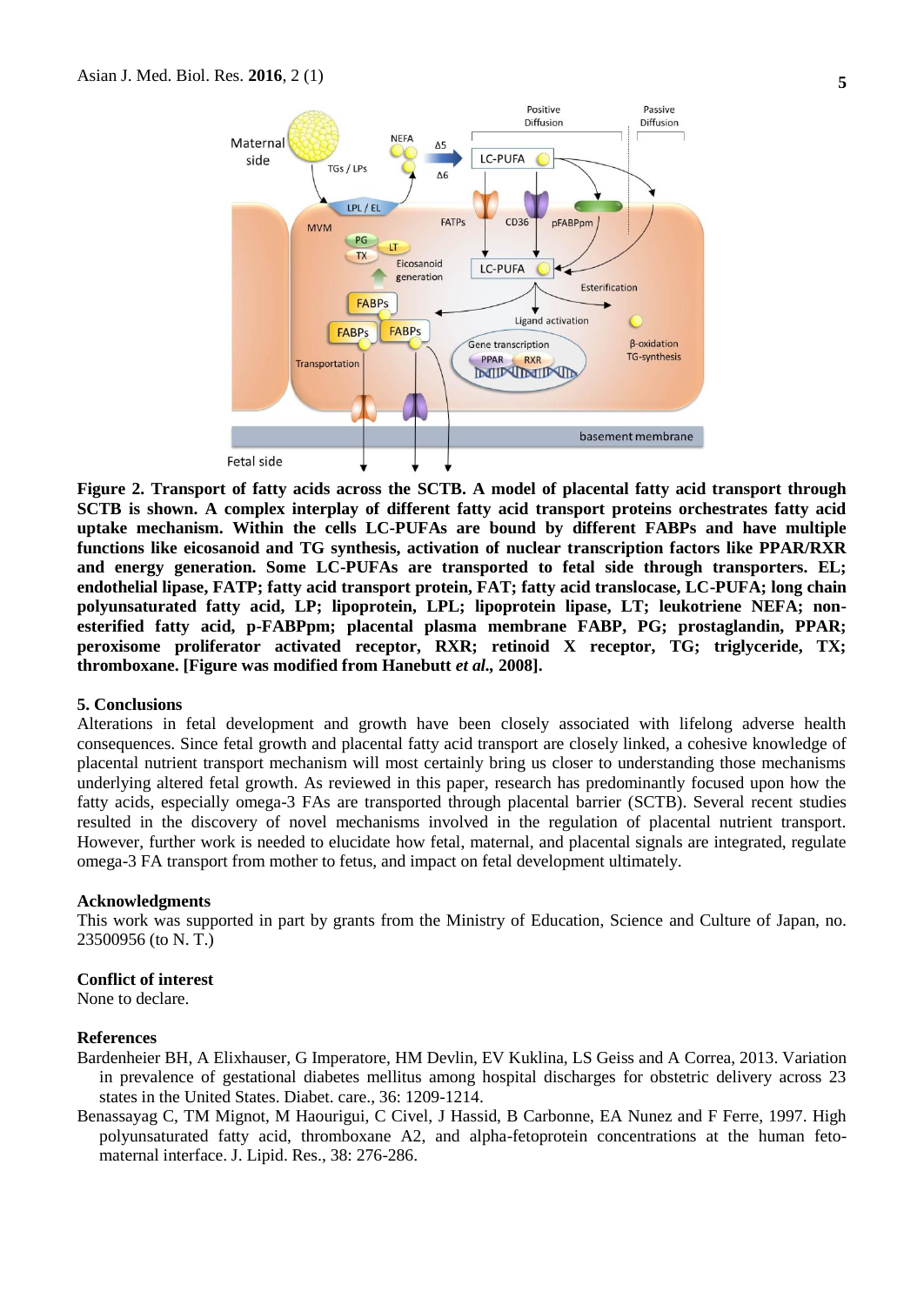

**Figure 2. Transport of fatty acids across the SCTB. A model of placental fatty acid transport through SCTB is shown. A complex interplay of different fatty acid transport proteins orchestrates fatty acid uptake mechanism. Within the cells LC-PUFAs are bound by different FABPs and have multiple functions like eicosanoid and TG synthesis, activation of nuclear transcription factors like PPAR/RXR and energy generation. Some LC-PUFAs are transported to fetal side through transporters. EL; endothelial lipase, FATP; fatty acid transport protein, FAT; fatty acid translocase, LC-PUFA; long chain polyunsaturated fatty acid, LP; lipoprotein, LPL; lipoprotein lipase, LT; leukotriene NEFA; nonesterified fatty acid, p-FABPpm; placental plasma membrane FABP, PG; prostaglandin, PPAR; peroxisome proliferator activated receptor, RXR; retinoid X receptor, TG; triglyceride, TX; thromboxane. [Figure was modified from Hanebutt** *et al.,* **2008].**

#### **5. Conclusions**

Alterations in fetal development and growth have been closely associated with lifelong adverse health consequences. Since fetal growth and placental fatty acid transport are closely linked, a cohesive knowledge of placental nutrient transport mechanism will most certainly bring us closer to understanding those mechanisms underlying altered fetal growth. As reviewed in this paper, research has predominantly focused upon how the fatty acids, especially omega-3 FAs are transported through placental barrier (SCTB). Several recent studies resulted in the discovery of novel mechanisms involved in the regulation of placental nutrient transport. However, further work is needed to elucidate how fetal, maternal, and placental signals are integrated, regulate omega-3 FA transport from mother to fetus, and impact on fetal development ultimately.

#### **Acknowledgments**

This work was supported in part by grants from the Ministry of Education, Science and Culture of Japan, no. 23500956 (to N. T.)

#### **Conflict of interest**

None to declare.

#### **References**

- Bardenheier BH, A Elixhauser, G Imperatore, HM Devlin, EV Kuklina, LS Geiss and A Correa, 2013. Variation in prevalence of gestational diabetes mellitus among hospital discharges for obstetric delivery across 23 states in the United States. Diabet. care., 36: 1209-1214.
- Benassayag C, TM Mignot, M Haourigui, C Civel, J Hassid, B Carbonne, EA Nunez and F Ferre, 1997. High polyunsaturated fatty acid, thromboxane A2, and alpha-fetoprotein concentrations at the human fetomaternal interface. J. Lipid. Res., 38: 276-286.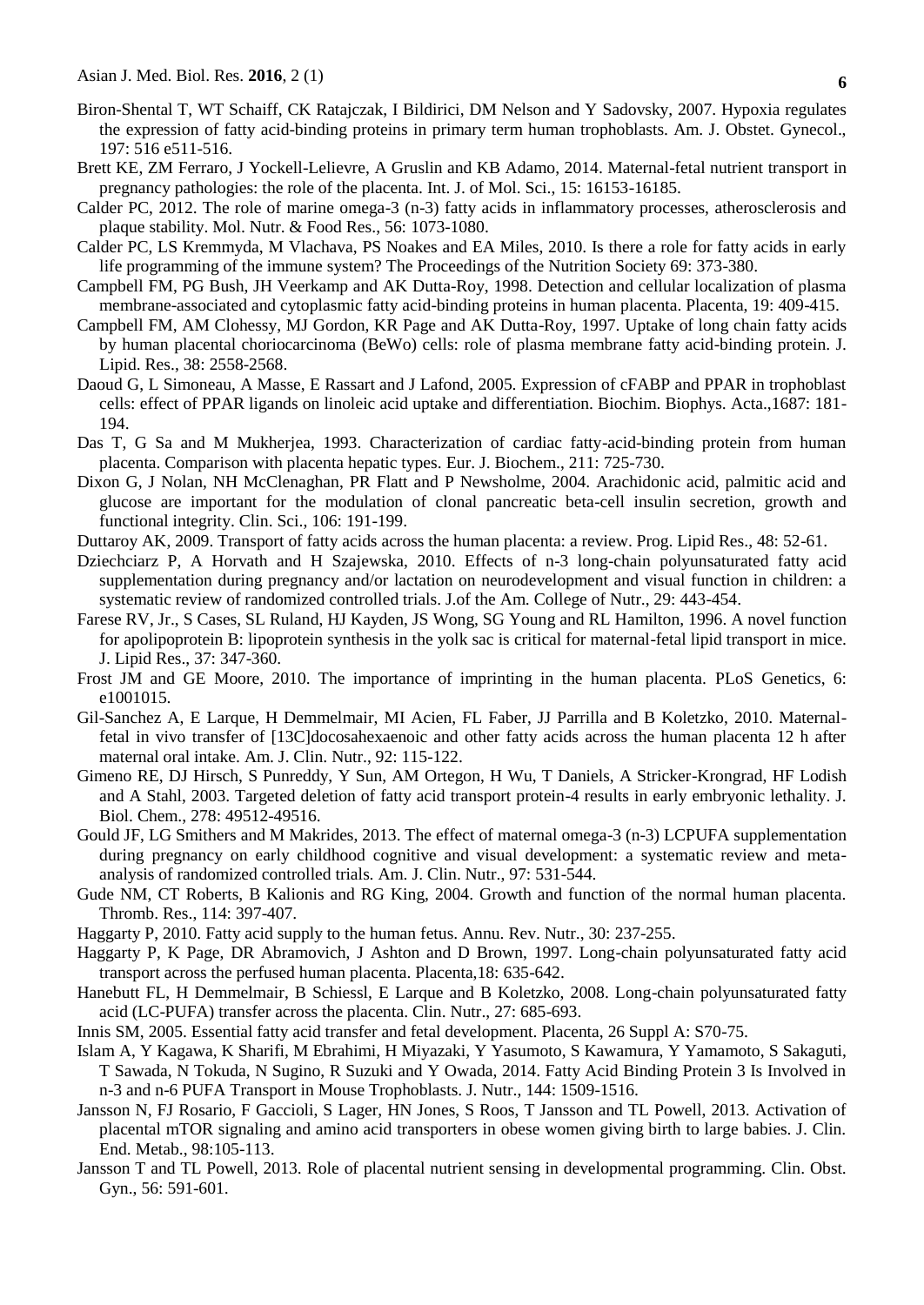- Biron-Shental T, WT Schaiff, CK Ratajczak, I Bildirici, DM Nelson and Y Sadovsky, 2007. Hypoxia regulates the expression of fatty acid-binding proteins in primary term human trophoblasts. Am. J. Obstet. Gynecol., 197: 516 e511-516.
- Brett KE, ZM Ferraro, J Yockell-Lelievre, A Gruslin and KB Adamo, 2014. Maternal-fetal nutrient transport in pregnancy pathologies: the role of the placenta. Int. J. of Mol. Sci., 15: 16153-16185.
- Calder PC, 2012. The role of marine omega-3 (n-3) fatty acids in inflammatory processes, atherosclerosis and plaque stability. Mol. Nutr. & Food Res., 56: 1073-1080.
- Calder PC, LS Kremmyda, M Vlachava, PS Noakes and EA Miles, 2010. Is there a role for fatty acids in early life programming of the immune system? The Proceedings of the Nutrition Society 69: 373-380.
- Campbell FM, PG Bush, JH Veerkamp and AK Dutta-Roy, 1998. Detection and cellular localization of plasma membrane-associated and cytoplasmic fatty acid-binding proteins in human placenta. Placenta, 19: 409-415.
- Campbell FM, AM Clohessy, MJ Gordon, KR Page and AK Dutta-Roy, 1997. Uptake of long chain fatty acids by human placental choriocarcinoma (BeWo) cells: role of plasma membrane fatty acid-binding protein. J. Lipid. Res., 38: 2558-2568.
- Daoud G, L Simoneau, A Masse, E Rassart and J Lafond, 2005. Expression of cFABP and PPAR in trophoblast cells: effect of PPAR ligands on linoleic acid uptake and differentiation. Biochim. Biophys. Acta.,1687: 181- 194.
- Das T, G Sa and M Mukherjea, 1993. Characterization of cardiac fatty-acid-binding protein from human placenta. Comparison with placenta hepatic types. Eur. J. Biochem., 211: 725-730.
- Dixon G, J Nolan, NH McClenaghan, PR Flatt and P Newsholme, 2004. Arachidonic acid, palmitic acid and glucose are important for the modulation of clonal pancreatic beta-cell insulin secretion, growth and functional integrity. Clin. Sci., 106: 191-199.
- Duttaroy AK, 2009. Transport of fatty acids across the human placenta: a review. Prog. Lipid Res., 48: 52-61.
- Dziechciarz P, A Horvath and H Szajewska, 2010. Effects of n-3 long-chain polyunsaturated fatty acid supplementation during pregnancy and/or lactation on neurodevelopment and visual function in children: a systematic review of randomized controlled trials. J.of the Am. College of Nutr., 29: 443-454.
- Farese RV, Jr., S Cases, SL Ruland, HJ Kayden, JS Wong, SG Young and RL Hamilton, 1996. A novel function for apolipoprotein B: lipoprotein synthesis in the yolk sac is critical for maternal-fetal lipid transport in mice. J. Lipid Res., 37: 347-360.
- Frost JM and GE Moore, 2010. The importance of imprinting in the human placenta. PLoS Genetics, 6: e1001015.
- Gil-Sanchez A, E Larque, H Demmelmair, MI Acien, FL Faber, JJ Parrilla and B Koletzko, 2010. Maternalfetal in vivo transfer of [13C]docosahexaenoic and other fatty acids across the human placenta 12 h after maternal oral intake. Am. J. Clin. Nutr., 92: 115-122.
- Gimeno RE, DJ Hirsch, S Punreddy, Y Sun, AM Ortegon, H Wu, T Daniels, A Stricker-Krongrad, HF Lodish and A Stahl, 2003. Targeted deletion of fatty acid transport protein-4 results in early embryonic lethality. J. Biol. Chem., 278: 49512-49516.
- Gould JF, LG Smithers and M Makrides, 2013. The effect of maternal omega-3 (n-3) LCPUFA supplementation during pregnancy on early childhood cognitive and visual development: a systematic review and metaanalysis of randomized controlled trials. Am. J. Clin. Nutr., 97: 531-544.
- Gude NM, CT Roberts, B Kalionis and RG King, 2004. Growth and function of the normal human placenta. Thromb. Res., 114: 397-407.
- Haggarty P, 2010. Fatty acid supply to the human fetus. Annu. Rev. Nutr., 30: 237-255.
- Haggarty P, K Page, DR Abramovich, J Ashton and D Brown, 1997. Long-chain polyunsaturated fatty acid transport across the perfused human placenta. Placenta,18: 635-642.
- Hanebutt FL, H Demmelmair, B Schiessl, E Larque and B Koletzko, 2008. Long-chain polyunsaturated fatty acid (LC-PUFA) transfer across the placenta. Clin. Nutr., 27: 685-693.
- Innis SM, 2005. Essential fatty acid transfer and fetal development. Placenta, 26 Suppl A: S70-75.
- Islam A, Y Kagawa, K Sharifi, M Ebrahimi, H Miyazaki, Y Yasumoto, S Kawamura, Y Yamamoto, S Sakaguti, T Sawada, N Tokuda, N Sugino, R Suzuki and Y Owada, 2014. Fatty Acid Binding Protein 3 Is Involved in n-3 and n-6 PUFA Transport in Mouse Trophoblasts. J. Nutr., 144: 1509-1516.
- Jansson N, FJ Rosario, F Gaccioli, S Lager, HN Jones, S Roos, T Jansson and TL Powell, 2013. Activation of placental mTOR signaling and amino acid transporters in obese women giving birth to large babies. J. Clin. End. Metab., 98:105-113.
- Jansson T and TL Powell, 2013. Role of placental nutrient sensing in developmental programming. Clin. Obst. Gyn., 56: 591-601.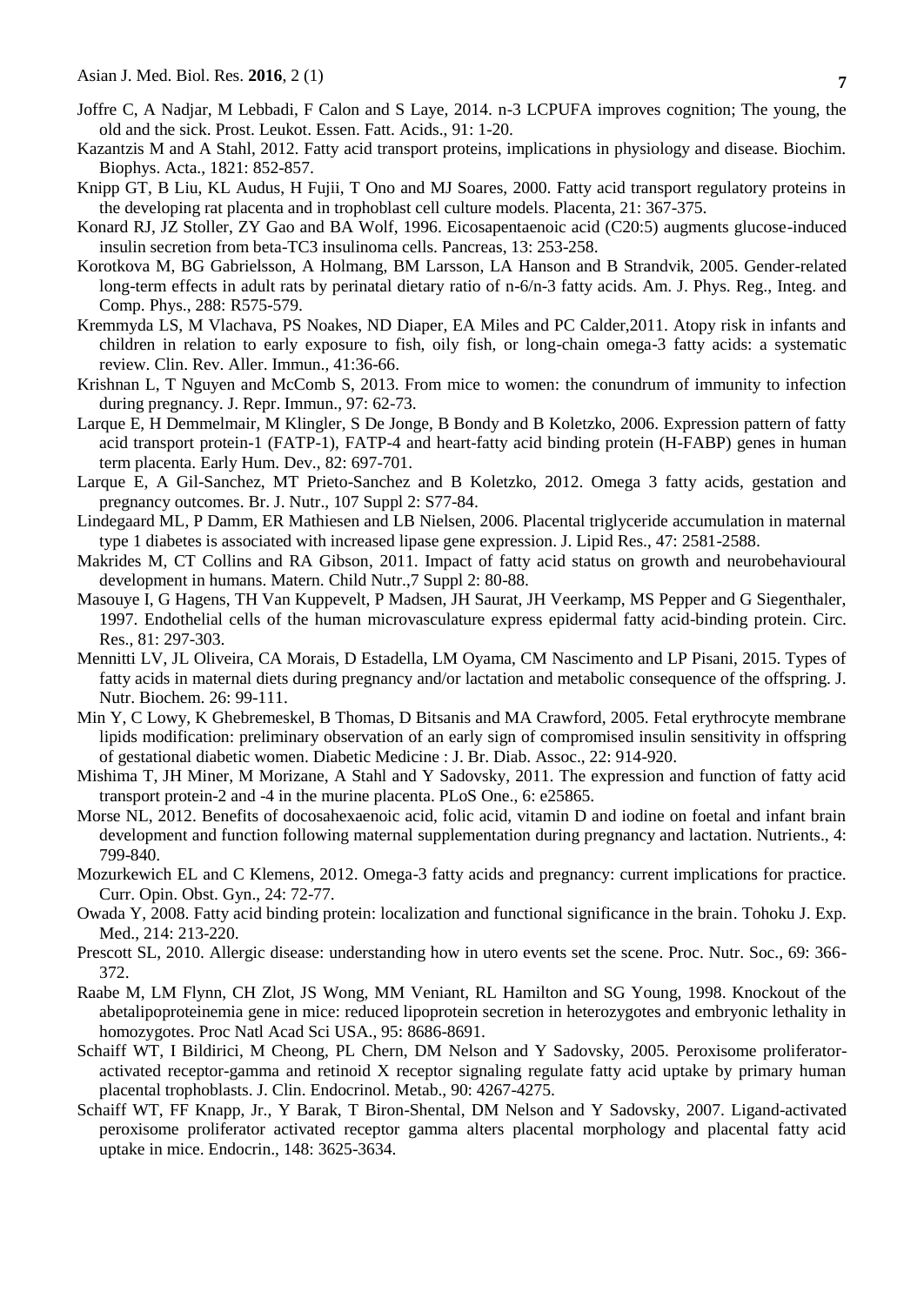- Joffre C, A Nadjar, M Lebbadi, F Calon and S Laye, 2014. n-3 LCPUFA improves cognition; The young, the old and the sick. Prost. Leukot. Essen. Fatt. Acids., 91: 1-20.
- Kazantzis M and A Stahl, 2012. Fatty acid transport proteins, implications in physiology and disease. Biochim. Biophys. Acta., 1821: 852-857.
- Knipp GT, B Liu, KL Audus, H Fujii, T Ono and MJ Soares, 2000. Fatty acid transport regulatory proteins in the developing rat placenta and in trophoblast cell culture models. Placenta, 21: 367-375.
- Konard RJ, JZ Stoller, ZY Gao and BA Wolf, 1996. Eicosapentaenoic acid (C20:5) augments glucose-induced insulin secretion from beta-TC3 insulinoma cells. Pancreas, 13: 253-258.
- Korotkova M, BG Gabrielsson, A Holmang, BM Larsson, LA Hanson and B Strandvik, 2005. Gender-related long-term effects in adult rats by perinatal dietary ratio of n-6/n-3 fatty acids. Am. J. Phys. Reg., Integ. and Comp. Phys., 288: R575-579.
- Kremmyda LS, M Vlachava, PS Noakes, ND Diaper, EA Miles and PC Calder,2011. Atopy risk in infants and children in relation to early exposure to fish, oily fish, or long-chain omega-3 fatty acids: a systematic review. Clin. Rev. Aller. Immun., 41:36-66.
- Krishnan L, T Nguyen and McComb S, 2013. From mice to women: the conundrum of immunity to infection during pregnancy. J. Repr. Immun., 97: 62-73.
- Larque E, H Demmelmair, M Klingler, S De Jonge, B Bondy and B Koletzko, 2006. Expression pattern of fatty acid transport protein-1 (FATP-1), FATP-4 and heart-fatty acid binding protein (H-FABP) genes in human term placenta. Early Hum. Dev., 82: 697-701.
- Larque E, A Gil-Sanchez, MT Prieto-Sanchez and B Koletzko, 2012. Omega 3 fatty acids, gestation and pregnancy outcomes. Br. J. Nutr., 107 Suppl 2: S77-84.
- Lindegaard ML, P Damm, ER Mathiesen and LB Nielsen, 2006. Placental triglyceride accumulation in maternal type 1 diabetes is associated with increased lipase gene expression. J. Lipid Res., 47: 2581-2588.
- Makrides M, CT Collins and RA Gibson, 2011. Impact of fatty acid status on growth and neurobehavioural development in humans. Matern. Child Nutr.,7 Suppl 2: 80-88.
- Masouye I, G Hagens, TH Van Kuppevelt, P Madsen, JH Saurat, JH Veerkamp, MS Pepper and G Siegenthaler, 1997. Endothelial cells of the human microvasculature express epidermal fatty acid-binding protein. Circ. Res., 81: 297-303.
- Mennitti LV, JL Oliveira, CA Morais, D Estadella, LM Oyama, CM Nascimento and LP Pisani, 2015. Types of fatty acids in maternal diets during pregnancy and/or lactation and metabolic consequence of the offspring. J. Nutr. Biochem. 26: 99-111.
- Min Y, C Lowy, K Ghebremeskel, B Thomas, D Bitsanis and MA Crawford, 2005. Fetal erythrocyte membrane lipids modification: preliminary observation of an early sign of compromised insulin sensitivity in offspring of gestational diabetic women. Diabetic Medicine : J. Br. Diab. Assoc., 22: 914-920.
- Mishima T, JH Miner, M Morizane, A Stahl and Y Sadovsky, 2011. The expression and function of fatty acid transport protein-2 and -4 in the murine placenta. PLoS One., 6: e25865.
- Morse NL, 2012. Benefits of docosahexaenoic acid, folic acid, vitamin D and iodine on foetal and infant brain development and function following maternal supplementation during pregnancy and lactation. Nutrients., 4: 799-840.
- Mozurkewich EL and C Klemens, 2012. Omega-3 fatty acids and pregnancy: current implications for practice. Curr. Opin. Obst. Gyn., 24: 72-77.
- Owada Y, 2008. Fatty acid binding protein: localization and functional significance in the brain. Tohoku J. Exp. Med., 214: 213-220.
- Prescott SL, 2010. Allergic disease: understanding how in utero events set the scene. Proc. Nutr. Soc., 69: 366- 372.
- Raabe M, LM Flynn, CH Zlot, JS Wong, MM Veniant, RL Hamilton and SG Young, 1998. Knockout of the abetalipoproteinemia gene in mice: reduced lipoprotein secretion in heterozygotes and embryonic lethality in homozygotes. Proc Natl Acad Sci USA., 95: 8686-8691.
- Schaiff WT, I Bildirici, M Cheong, PL Chern, DM Nelson and Y Sadovsky, 2005. Peroxisome proliferatoractivated receptor-gamma and retinoid X receptor signaling regulate fatty acid uptake by primary human placental trophoblasts. J. Clin. Endocrinol. Metab., 90: 4267-4275.
- Schaiff WT, FF Knapp, Jr., Y Barak, T Biron-Shental, DM Nelson and Y Sadovsky, 2007. Ligand-activated peroxisome proliferator activated receptor gamma alters placental morphology and placental fatty acid uptake in mice. Endocrin., 148: 3625-3634.